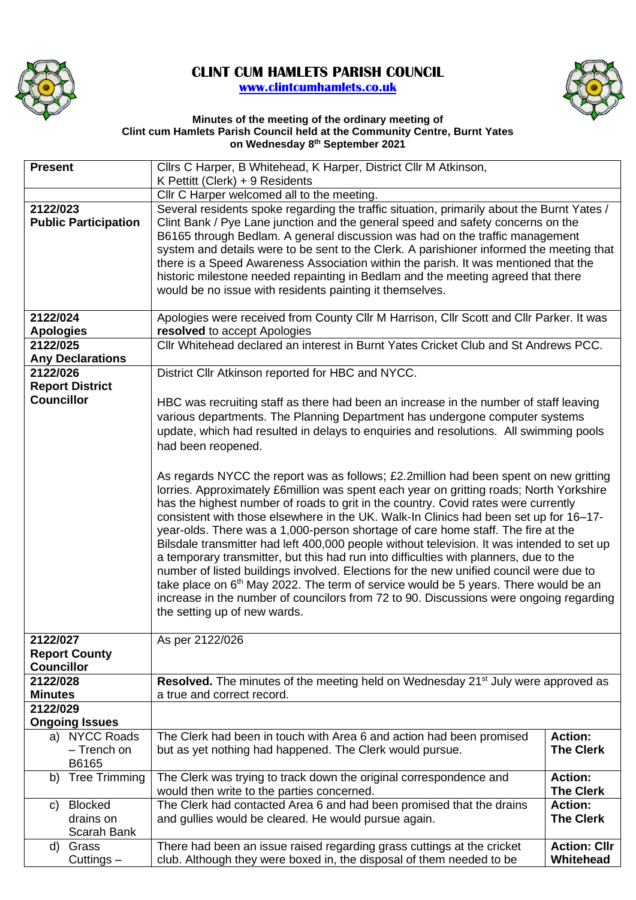

## **CLINT CUM HAMLETS PARISH COUNCIL [www.clintcumhamlets.co.uk](http://www.clintcumhamlets.co.uk/)**



## **Minutes of the meeting of the ordinary meeting of Clint cum Hamlets Parish Council held at the Community Centre, Burnt Yates on Wednesday 8 th September 2021**

| <b>Present</b>                          | Cllrs C Harper, B Whitehead, K Harper, District Cllr M Atkinson,                                                                                                                                                                                                                                                                                                                                                                                                                                                                                                                                                                                                                                                                                                                                                                                                                                                         |                                    |  |  |
|-----------------------------------------|--------------------------------------------------------------------------------------------------------------------------------------------------------------------------------------------------------------------------------------------------------------------------------------------------------------------------------------------------------------------------------------------------------------------------------------------------------------------------------------------------------------------------------------------------------------------------------------------------------------------------------------------------------------------------------------------------------------------------------------------------------------------------------------------------------------------------------------------------------------------------------------------------------------------------|------------------------------------|--|--|
|                                         | K Pettitt (Clerk) + 9 Residents                                                                                                                                                                                                                                                                                                                                                                                                                                                                                                                                                                                                                                                                                                                                                                                                                                                                                          |                                    |  |  |
|                                         | Cllr C Harper welcomed all to the meeting.                                                                                                                                                                                                                                                                                                                                                                                                                                                                                                                                                                                                                                                                                                                                                                                                                                                                               |                                    |  |  |
| 2122/023<br><b>Public Participation</b> | Several residents spoke regarding the traffic situation, primarily about the Burnt Yates /<br>Clint Bank / Pye Lane junction and the general speed and safety concerns on the<br>B6165 through Bedlam. A general discussion was had on the traffic management<br>system and details were to be sent to the Clerk. A parishioner informed the meeting that<br>there is a Speed Awareness Association within the parish. It was mentioned that the<br>historic milestone needed repainting in Bedlam and the meeting agreed that there<br>would be no issue with residents painting it themselves.                                                                                                                                                                                                                                                                                                                         |                                    |  |  |
| 2122/024                                | Apologies were received from County Cllr M Harrison, Cllr Scott and Cllr Parker. It was                                                                                                                                                                                                                                                                                                                                                                                                                                                                                                                                                                                                                                                                                                                                                                                                                                  |                                    |  |  |
| <b>Apologies</b>                        | resolved to accept Apologies                                                                                                                                                                                                                                                                                                                                                                                                                                                                                                                                                                                                                                                                                                                                                                                                                                                                                             |                                    |  |  |
| 2122/025                                | Cllr Whitehead declared an interest in Burnt Yates Cricket Club and St Andrews PCC.                                                                                                                                                                                                                                                                                                                                                                                                                                                                                                                                                                                                                                                                                                                                                                                                                                      |                                    |  |  |
| <b>Any Declarations</b>                 |                                                                                                                                                                                                                                                                                                                                                                                                                                                                                                                                                                                                                                                                                                                                                                                                                                                                                                                          |                                    |  |  |
| 2122/026                                | District Cllr Atkinson reported for HBC and NYCC.                                                                                                                                                                                                                                                                                                                                                                                                                                                                                                                                                                                                                                                                                                                                                                                                                                                                        |                                    |  |  |
| <b>Report District</b>                  |                                                                                                                                                                                                                                                                                                                                                                                                                                                                                                                                                                                                                                                                                                                                                                                                                                                                                                                          |                                    |  |  |
| <b>Councillor</b>                       | HBC was recruiting staff as there had been an increase in the number of staff leaving                                                                                                                                                                                                                                                                                                                                                                                                                                                                                                                                                                                                                                                                                                                                                                                                                                    |                                    |  |  |
|                                         | various departments. The Planning Department has undergone computer systems                                                                                                                                                                                                                                                                                                                                                                                                                                                                                                                                                                                                                                                                                                                                                                                                                                              |                                    |  |  |
|                                         | update, which had resulted in delays to enquiries and resolutions. All swimming pools                                                                                                                                                                                                                                                                                                                                                                                                                                                                                                                                                                                                                                                                                                                                                                                                                                    |                                    |  |  |
|                                         | had been reopened.                                                                                                                                                                                                                                                                                                                                                                                                                                                                                                                                                                                                                                                                                                                                                                                                                                                                                                       |                                    |  |  |
|                                         | As regards NYCC the report was as follows; £2.2 million had been spent on new gritting<br>lorries. Approximately £6million was spent each year on gritting roads; North Yorkshire<br>has the highest number of roads to grit in the country. Covid rates were currently<br>consistent with those elsewhere in the UK. Walk-In Clinics had been set up for 16–17-<br>year-olds. There was a 1,000-person shortage of care home staff. The fire at the<br>Bilsdale transmitter had left 400,000 people without television. It was intended to set up<br>a temporary transmitter, but this had run into difficulties with planners, due to the<br>number of listed buildings involved. Elections for the new unified council were due to<br>take place on $6th$ May 2022. The term of service would be 5 years. There would be an<br>increase in the number of councilors from 72 to 90. Discussions were ongoing regarding |                                    |  |  |
|                                         | the setting up of new wards.                                                                                                                                                                                                                                                                                                                                                                                                                                                                                                                                                                                                                                                                                                                                                                                                                                                                                             |                                    |  |  |
|                                         |                                                                                                                                                                                                                                                                                                                                                                                                                                                                                                                                                                                                                                                                                                                                                                                                                                                                                                                          |                                    |  |  |
| 2122/027<br><b>Report County</b>        | As per 2122/026                                                                                                                                                                                                                                                                                                                                                                                                                                                                                                                                                                                                                                                                                                                                                                                                                                                                                                          |                                    |  |  |
| <b>Councillor</b>                       |                                                                                                                                                                                                                                                                                                                                                                                                                                                                                                                                                                                                                                                                                                                                                                                                                                                                                                                          |                                    |  |  |
| 2122/028                                | Resolved. The minutes of the meeting held on Wednesday 21 <sup>st</sup> July were approved as                                                                                                                                                                                                                                                                                                                                                                                                                                                                                                                                                                                                                                                                                                                                                                                                                            |                                    |  |  |
| <b>Minutes</b>                          | a true and correct record.                                                                                                                                                                                                                                                                                                                                                                                                                                                                                                                                                                                                                                                                                                                                                                                                                                                                                               |                                    |  |  |
| 2122/029                                |                                                                                                                                                                                                                                                                                                                                                                                                                                                                                                                                                                                                                                                                                                                                                                                                                                                                                                                          |                                    |  |  |
| <b>Ongoing Issues</b>                   |                                                                                                                                                                                                                                                                                                                                                                                                                                                                                                                                                                                                                                                                                                                                                                                                                                                                                                                          |                                    |  |  |
| a) NYCC Roads                           | The Clerk had been in touch with Area 6 and action had been promised                                                                                                                                                                                                                                                                                                                                                                                                                                                                                                                                                                                                                                                                                                                                                                                                                                                     | <b>Action:</b>                     |  |  |
| - Trench on                             | but as yet nothing had happened. The Clerk would pursue.                                                                                                                                                                                                                                                                                                                                                                                                                                                                                                                                                                                                                                                                                                                                                                                                                                                                 | <b>The Clerk</b>                   |  |  |
| B6165                                   |                                                                                                                                                                                                                                                                                                                                                                                                                                                                                                                                                                                                                                                                                                                                                                                                                                                                                                                          |                                    |  |  |
| <b>Tree Trimming</b><br>b)              | The Clerk was trying to track down the original correspondence and                                                                                                                                                                                                                                                                                                                                                                                                                                                                                                                                                                                                                                                                                                                                                                                                                                                       | <b>Action:</b>                     |  |  |
| <b>Blocked</b>                          | would then write to the parties concerned.<br>The Clerk had contacted Area 6 and had been promised that the drains                                                                                                                                                                                                                                                                                                                                                                                                                                                                                                                                                                                                                                                                                                                                                                                                       | <b>The Clerk</b><br><b>Action:</b> |  |  |
| C)<br>drains on                         | and gullies would be cleared. He would pursue again.                                                                                                                                                                                                                                                                                                                                                                                                                                                                                                                                                                                                                                                                                                                                                                                                                                                                     | <b>The Clerk</b>                   |  |  |
| Scarah Bank                             |                                                                                                                                                                                                                                                                                                                                                                                                                                                                                                                                                                                                                                                                                                                                                                                                                                                                                                                          |                                    |  |  |
| Grass<br>d)                             | There had been an issue raised regarding grass cuttings at the cricket                                                                                                                                                                                                                                                                                                                                                                                                                                                                                                                                                                                                                                                                                                                                                                                                                                                   | <b>Action: Cllr</b>                |  |  |
| Cuttings -                              | club. Although they were boxed in, the disposal of them needed to be                                                                                                                                                                                                                                                                                                                                                                                                                                                                                                                                                                                                                                                                                                                                                                                                                                                     | Whitehead                          |  |  |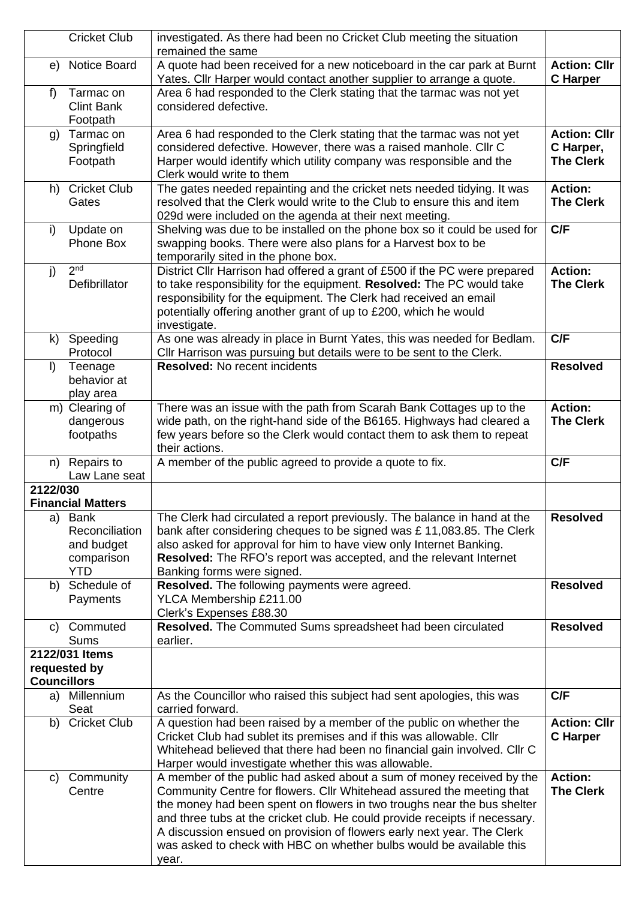|                    | <b>Cricket Club</b>         | investigated. As there had been no Cricket Club meeting the situation<br>remained the same                                                     |                                    |
|--------------------|-----------------------------|------------------------------------------------------------------------------------------------------------------------------------------------|------------------------------------|
| e)                 | Notice Board                | A quote had been received for a new noticeboard in the car park at Burnt                                                                       | <b>Action: Cllr</b>                |
|                    |                             | Yates. Cllr Harper would contact another supplier to arrange a quote.                                                                          | <b>C</b> Harper                    |
| f                  | Tarmac on                   | Area 6 had responded to the Clerk stating that the tarmac was not yet                                                                          |                                    |
|                    | <b>Clint Bank</b>           | considered defective.                                                                                                                          |                                    |
|                    | Footpath                    |                                                                                                                                                |                                    |
| $\mathfrak{g}$     | Tarmac on                   | Area 6 had responded to the Clerk stating that the tarmac was not yet                                                                          | <b>Action: Cllr</b>                |
|                    | Springfield                 | considered defective. However, there was a raised manhole. Cllr C                                                                              | C Harper,                          |
|                    | Footpath                    | Harper would identify which utility company was responsible and the                                                                            | <b>The Clerk</b>                   |
|                    |                             | Clerk would write to them                                                                                                                      |                                    |
| h)                 | <b>Cricket Club</b>         | The gates needed repainting and the cricket nets needed tidying. It was                                                                        | <b>Action:</b><br><b>The Clerk</b> |
|                    | Gates                       | resolved that the Clerk would write to the Club to ensure this and item<br>029d were included on the agenda at their next meeting.             |                                    |
| i)                 | Update on                   | Shelving was due to be installed on the phone box so it could be used for                                                                      | C/F                                |
|                    | Phone Box                   | swapping books. There were also plans for a Harvest box to be                                                                                  |                                    |
|                    |                             | temporarily sited in the phone box.                                                                                                            |                                    |
| j)                 | 2 <sub>nd</sub>             | District Cllr Harrison had offered a grant of £500 if the PC were prepared                                                                     | Action:                            |
|                    | Defibrillator               | to take responsibility for the equipment. Resolved: The PC would take                                                                          | <b>The Clerk</b>                   |
|                    |                             | responsibility for the equipment. The Clerk had received an email                                                                              |                                    |
|                    |                             | potentially offering another grant of up to £200, which he would                                                                               |                                    |
|                    |                             | investigate.                                                                                                                                   |                                    |
| k)                 | Speeding                    | As one was already in place in Burnt Yates, this was needed for Bedlam.                                                                        | C/F                                |
|                    | Protocol                    | Cllr Harrison was pursuing but details were to be sent to the Clerk.                                                                           |                                    |
| $\vert$            | Teenage                     | <b>Resolved: No recent incidents</b>                                                                                                           | <b>Resolved</b>                    |
|                    | behavior at                 |                                                                                                                                                |                                    |
|                    | play area<br>m) Clearing of | There was an issue with the path from Scarah Bank Cottages up to the                                                                           | <b>Action:</b>                     |
|                    | dangerous                   | wide path, on the right-hand side of the B6165. Highways had cleared a                                                                         | <b>The Clerk</b>                   |
|                    | footpaths                   | few years before so the Clerk would contact them to ask them to repeat                                                                         |                                    |
|                    |                             | their actions.                                                                                                                                 |                                    |
| n)                 | Repairs to                  | A member of the public agreed to provide a quote to fix.                                                                                       |                                    |
|                    |                             |                                                                                                                                                | C/F                                |
|                    | Law Lane seat               |                                                                                                                                                |                                    |
| 2122/030           |                             |                                                                                                                                                |                                    |
|                    | <b>Financial Matters</b>    |                                                                                                                                                |                                    |
| a)                 | <b>Bank</b>                 | The Clerk had circulated a report previously. The balance in hand at the                                                                       | <b>Resolved</b>                    |
|                    | Reconciliation              | bank after considering cheques to be signed was £11,083.85. The Clerk                                                                          |                                    |
|                    | and budget                  | also asked for approval for him to have view only Internet Banking.                                                                            |                                    |
|                    | comparison                  | Resolved: The RFO's report was accepted, and the relevant Internet                                                                             |                                    |
| b)                 | <b>YTD</b><br>Schedule of   | Banking forms were signed.                                                                                                                     | <b>Resolved</b>                    |
|                    | Payments                    | Resolved. The following payments were agreed.<br>YLCA Membership £211.00                                                                       |                                    |
|                    |                             | Clerk's Expenses £88.30                                                                                                                        |                                    |
| C)                 | Commuted                    | Resolved. The Commuted Sums spreadsheet had been circulated                                                                                    | <b>Resolved</b>                    |
|                    | Sums                        | earlier.                                                                                                                                       |                                    |
|                    | 2122/031 Items              |                                                                                                                                                |                                    |
|                    | requested by                |                                                                                                                                                |                                    |
| <b>Councillors</b> |                             |                                                                                                                                                |                                    |
|                    | a) Millennium<br>Seat       | As the Councillor who raised this subject had sent apologies, this was<br>carried forward.                                                     | C/F                                |
| b)                 | <b>Cricket Club</b>         | A question had been raised by a member of the public on whether the                                                                            | <b>Action: Cllr</b>                |
|                    |                             | Cricket Club had sublet its premises and if this was allowable. Cllr                                                                           | <b>C</b> Harper                    |
|                    |                             | Whitehead believed that there had been no financial gain involved. Cllr C                                                                      |                                    |
|                    |                             | Harper would investigate whether this was allowable.                                                                                           |                                    |
| C)                 | Community                   | A member of the public had asked about a sum of money received by the                                                                          | <b>Action:</b>                     |
|                    | Centre                      | Community Centre for flowers. Cllr Whitehead assured the meeting that                                                                          | <b>The Clerk</b>                   |
|                    |                             | the money had been spent on flowers in two troughs near the bus shelter                                                                        |                                    |
|                    |                             | and three tubs at the cricket club. He could provide receipts if necessary.                                                                    |                                    |
|                    |                             | A discussion ensued on provision of flowers early next year. The Clerk<br>was asked to check with HBC on whether bulbs would be available this |                                    |